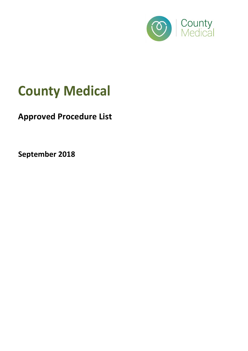

## County Medical

## Approved Procedure List

September 2018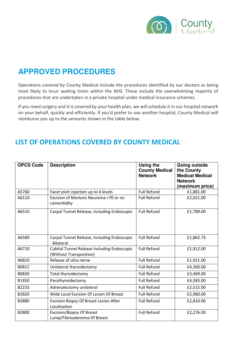

## **APPROVED PROCEDURES**

Operations covered by County Medical include the procedures identified by our doctors as being most likely to incur waiting times within the NHS. These include the overwhelming majority of procedures that are undertaken in a private hospital under medical insurance schemes.

If you need surgery and it is covered by your health plan, we will schedule it in our hospital network on your behalf, quickly and efficiently. If you'd prefer to use another hospital, County Medical will reimburse you up to the amounts shown in the table below.

## LIST OF OPERATIONS COVERED BY COUNTY MEDICAL

| <b>OPCS Code</b> | <b>Description</b>                                                            | Using the<br><b>County Medical</b><br><b>Network</b> | <b>Going outside</b><br>the County<br><b>Medical Medical</b><br><b>Network</b><br>(maximum price) |
|------------------|-------------------------------------------------------------------------------|------------------------------------------------------|---------------------------------------------------------------------------------------------------|
| A5760            | Facet joint injection up to 4 levels                                          | <b>Full Refund</b>                                   | £1,881.00                                                                                         |
| A6110            | Excision of Mortons Neuroma <70 or no<br>comorbidity                          | <b>Full Refund</b>                                   | £2,021.00                                                                                         |
| A6510            | Carpal Tunnel Release, Including Endoscopic                                   | <b>Full Refund</b>                                   | £1,789.00                                                                                         |
| A6580            | Carpal Tunnel Release, Including Endoscopic<br>- Bilateral                    | <b>Full Refund</b>                                   | £1,862.73                                                                                         |
| A6710            | <b>Cubital Tunnel Release Including Endoscopic</b><br>(Without Transposition) | <b>Full Refund</b>                                   | £1,912.00                                                                                         |
| A6810            | Release of ulna nerve                                                         | <b>Full Refund</b>                                   | £1,911.00                                                                                         |
| B0812            | Unilateral thyroidectomy                                                      | <b>Full Refund</b>                                   | £4,390.00                                                                                         |
| B0830            | Total thyroidectomy                                                           | <b>Full Refund</b>                                   | £3,469.00                                                                                         |
| B1450            | Parathyroidectomy                                                             | <b>Full Refund</b>                                   | £4,583.00                                                                                         |
| B2233            | Adrenalectomy unilateral                                                      | <b>Full Refund</b>                                   | £2,515.00                                                                                         |
| B2820            | Wide Local Excision Of Lesion Of Breast                                       | <b>Full Refund</b>                                   | £2,980.00                                                                                         |
| B2880            | Excision Biopsy Of Breast Lesion After<br>Localisation                        | <b>Full Refund</b>                                   | £2,810.00                                                                                         |
| B2800            | Excision/Biopsy Of Breast<br>Lump/Fibroadenoma Of Breast                      | <b>Full Refund</b>                                   | £2,276.00                                                                                         |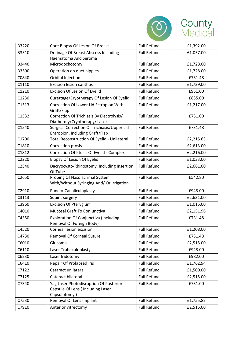

| B3220 | Core Biopsy Of Lesion Of Breast                                                             | <b>Full Refund</b> | £1,392.00 |
|-------|---------------------------------------------------------------------------------------------|--------------------|-----------|
| B3310 | Drainage Of Breast Abscess Including                                                        | <b>Full Refund</b> | £1,057.00 |
|       | Haematoma And Seroma                                                                        |                    |           |
| B3440 | Microdochotomy                                                                              | <b>Full Refund</b> | £1,728.00 |
| B3590 | Operation on duct nipples                                                                   | <b>Full Refund</b> | £1,728.00 |
| C0840 | Orbital Injection                                                                           | <b>Full Refund</b> | £731.48   |
| C1110 | <b>Excision lesion canthus</b>                                                              | <b>Full Refund</b> | £1,739.00 |
| C1210 | Excision Of Lesion Of Eyelid                                                                | <b>Full Refund</b> | £951.00   |
| C1230 | Curettage/Cryotherapy Of Lesion Of Eyelid                                                   | <b>Full Refund</b> | £835.00   |
| C1513 | Correction Of Lower Lid Ectropion With<br>Graft/Flap                                        | <b>Full Refund</b> | £1,217.00 |
| C1532 | Correction Of Trichiasis By Electrolysis/<br>Diathermy/Cryotherapy/Laser                    | <b>Full Refund</b> | £731.00   |
| C1540 | Surgical Correction Of Trichiasis/Upper Lid<br>Entropion, Including Graft/Flap              | <b>Full Refund</b> | £731.48   |
| C1700 | Total Reconstruction Of Eyelid - Unilateral                                                 | <b>Full Refund</b> | £2,215.63 |
| C1810 | Correction ptosis                                                                           | <b>Full Refund</b> | £2,613.00 |
| C1812 | Correction Of Ptosis Of Eyelid - Complex                                                    | <b>Full Refund</b> | £2,216.00 |
| C2220 | Biopsy Of Lesion Of Eyelid                                                                  | <b>Full Refund</b> | £1,033.00 |
| C2540 | Dacryocysto-Rhinostomy, Including Insertion<br>Of Tube                                      | <b>Full Refund</b> | £2,661.00 |
| C2650 | Probing Of Nasolacrimal System<br>With/Without Syringing And/ Or Irrigation                 | <b>Full Refund</b> | £542.80   |
| C2910 | Puncto-Canaliculoplasty                                                                     | <b>Full Refund</b> | £943.00   |
| C3113 | Squint surgery                                                                              | <b>Full Refund</b> | £2,631.00 |
| C3960 | <b>Excision Of Pterygium</b>                                                                | <b>Full Refund</b> | £1,015.00 |
| C4010 | Mucosal Graft To Conjunctiva                                                                | <b>Full Refund</b> | £2,151.96 |
| C4350 | <b>Exploration Of Conjunctiva (Including</b><br>Removal Of Foreign Body)                    | <b>Full Refund</b> | £731.48   |
| C4520 | Corneal lesion excision                                                                     | <b>Full Refund</b> | £1,208.00 |
| C4730 | <b>Removal Of Corneal Suture</b>                                                            | <b>Full Refund</b> | £731.48   |
| C6010 | Glucoma                                                                                     | <b>Full Refund</b> | £2,515.00 |
| C6110 | Laser Trabeculoplasty                                                                       | <b>Full Refund</b> | £943.00   |
| C6230 | Laser Iridotomy                                                                             | <b>Full Refund</b> | £982.00   |
| C6410 | Repair Of Prolapsed Iris                                                                    | <b>Full Refund</b> | £1,762.94 |
| C7122 | Cataract unilateral                                                                         | <b>Full Refund</b> | £1,500.00 |
| C7125 | Cataract bilateral                                                                          | <b>Full Refund</b> | £2,515.00 |
| C7340 | Yag Laser Photodisruption Of Posterior<br>Capsule Of Lens ( Including Laser<br>Capsulotomy) | <b>Full Refund</b> | £731.00   |
| C7530 | Removal Of Lens Implant                                                                     | <b>Full Refund</b> | £1,755.82 |
| C7910 | Anterior vitrectomy                                                                         | <b>Full Refund</b> | £2,515.00 |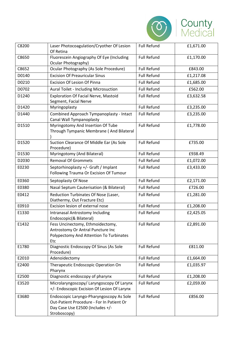

| C8200 | Laser Photocoagulation/Cryother Of Lesion<br>Of Retina                                                                                    | <b>Full Refund</b> | £1,671.00 |
|-------|-------------------------------------------------------------------------------------------------------------------------------------------|--------------------|-----------|
| C8650 | Fluorescein Angiography Of Eye (Including<br>Ocular Photography)                                                                          | <b>Full Refund</b> | £1,170.00 |
| C8652 | Ocular Photography (As Sole Procedure)                                                                                                    | <b>Full Refund</b> | £843.00   |
| D0140 | <b>Excision Of Preauricular Sinus</b>                                                                                                     | <b>Full Refund</b> | £1,217.08 |
| D0210 | <b>Excision Of Lesion Of Pinna</b>                                                                                                        | <b>Full Refund</b> | £1,685.00 |
| D0702 | <b>Aural Toilet - Including Microsuction</b>                                                                                              | <b>Full Refund</b> | £562.00   |
| D1240 | Exploration Of Facial Nerve, Mastoid<br>Segment, Facial Nerve                                                                             | <b>Full Refund</b> | £3,632.58 |
| D1420 | Myringoplasty                                                                                                                             | <b>Full Refund</b> | £3,235.00 |
| D1440 | Combined Approach Tympanoplasty - Intact<br>Canal Wall Tympanoplasty                                                                      | <b>Full Refund</b> | £3,235.00 |
| D1510 | Myringotomy And Insertion Of Tube<br>Through Tympanic Membrane (And Bilateral                                                             | <b>Full Refund</b> | £1,778.00 |
| D1520 | Suction Clearance Of Middle Ear (As Sole<br>Procedure)                                                                                    | <b>Full Refund</b> | £735.00   |
| D1530 | Myringotomy (And Bilateral)                                                                                                               | <b>Full Refund</b> | £938.49   |
| D2030 | <b>Removal Of Grommets</b>                                                                                                                | <b>Full Refund</b> | £1,072.00 |
| E0230 | Septorhinoplasty +/- Graft / Implant<br>Following Trauma Or Excision Of Tumour                                                            | <b>Full Refund</b> | £3,433.00 |
| E0360 | Septoplasty Of Nose                                                                                                                       | <b>Full Refund</b> | £2,171.00 |
| E0380 | Nasal Septum Cauterisation (& Bilateral)                                                                                                  | <b>Full Refund</b> | £726.00   |
| E0412 | Reduction Turbinates Of Nose (Laser,<br>Diathermy, Out Fracture Etc)                                                                      | <b>Full Refund</b> | £1,281.00 |
| E0910 | Excision lesion of external nose                                                                                                          | <b>Full Refund</b> | £1,208.00 |
| E1330 | Intranasal Antrostomy Including<br>Endoscopic(& Bilateral)                                                                                | <b>Full Refund</b> | £2,425.05 |
| E1432 | Fess Uncinectomy, Ethmoidectomy,<br>Antrostomy Or Antral Puncture Inc<br>Polypectomy And Attention To Turbinates<br>Etc                   | <b>Full Refund</b> | £2,891.00 |
| E1780 | Diagnostic Endoscopy Of Sinus (As Sole<br>Procedure)                                                                                      | <b>Full Refund</b> | £811.00   |
| E2010 | Adenoidectomy                                                                                                                             | <b>Full Refund</b> | £1,664.00 |
| E2400 | Therapeutic Endoscopic Operation On<br>Pharynx                                                                                            | <b>Full Refund</b> | £1,035.97 |
| E2500 | Diagnostic endoscopy of pharynx                                                                                                           | <b>Full Refund</b> | £1,208.00 |
| E3520 | Microlaryngoscopy/ Laryngoscopy Of Larynx<br>+/- Endoscopic Excision Of Lesion Of Larynx                                                  | <b>Full Refund</b> | £2,059.00 |
| E3680 | Endoscopic Laryngo-Pharyngoscopy As Sole<br>Out-Patient Procedure - For In Patient Or<br>Day Case Use E2500 (Includes +/-<br>Stroboscopy) | <b>Full Refund</b> | £856.00   |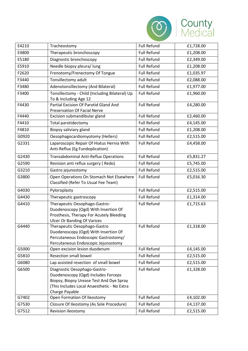

| E4210 | Tracheostomy                                                                                                                                                                     | <b>Full Refund</b> | £1,728.00 |
|-------|----------------------------------------------------------------------------------------------------------------------------------------------------------------------------------|--------------------|-----------|
| E4800 | Therapeutic bronchoscopy                                                                                                                                                         | <b>Full Refund</b> | £1,208.00 |
| E5180 | Diagnostic bronchoscopy                                                                                                                                                          | <b>Full Refund</b> | £2,349.00 |
| E5910 | Needle biopsy pleura/ lung                                                                                                                                                       | <b>Full Refund</b> | £1,208.00 |
| F2620 | Frenotomy/Frenectomy Of Tongue                                                                                                                                                   | <b>Full Refund</b> | £1,035.97 |
| F3440 | Tonsillectomy adult                                                                                                                                                              | <b>Full Refund</b> | £2,088.00 |
| F3480 | Adenotonsillectomy (And Bilateral)                                                                                                                                               | <b>Full Refund</b> | £1,977.00 |
| F3400 | Tonsillectomy - Child (Including Bilateral) Up<br>To & Including Age 12                                                                                                          | <b>Full Refund</b> | £1,960.00 |
| F4430 | Partial Excision Of Parotid Gland And<br>Preservation Of Facial Nerve                                                                                                            | <b>Full Refund</b> | £4,280.00 |
| F4440 | Excision submandibular gland                                                                                                                                                     | <b>Full Refund</b> | £2,460.00 |
| F4410 | Total parotidectomy                                                                                                                                                              | <b>Full Refund</b> | £4,145.00 |
| F4810 | Biopsy saliviary gland                                                                                                                                                           | <b>Full Refund</b> | £1,208.00 |
| G0920 | Oesophagocardiomyotomy (Hellers)                                                                                                                                                 | <b>Full Refund</b> | £2,515.00 |
| G2331 | Laparoscopic Repair Of Hiatus Hernia With<br>Anti-Reflux (Eg Fundoplication)                                                                                                     | <b>Full Refund</b> | £4,458.00 |
| G2430 | <b>Transabdominal Anti-Reflux Operations</b>                                                                                                                                     | <b>Full Refund</b> | £5,831.27 |
| G2590 | Revision anti reflux surgery (Redo)                                                                                                                                              | <b>Full Refund</b> | £5,745.00 |
| G3210 | Gastro jejunostomy                                                                                                                                                               | <b>Full Refund</b> | £2,515.00 |
| G3800 | Open Operations On Stomach Not Elsewhere<br>Classified (Refer To Usual Fee Team)                                                                                                 | <b>Full Refund</b> | £5,016.30 |
| G4030 | Pyloroplasty                                                                                                                                                                     | <b>Full Refund</b> | £2,515.00 |
| G4430 | Therapeutic gastroscopy                                                                                                                                                          | <b>Full Refund</b> | £1,314.00 |
| G4410 | Therapeutic Oesophago-Gastro-<br>Duodenoscopy (Ogd) With Insertion Of<br>Prosthesis, Therapy For Acutely Bleeding<br><b>Ulcer Or Banding Of Varices</b>                          | <b>Full Refund</b> | £1,715.63 |
| G4440 | Therapeutic Oesophago-Gastro<br>Duodenoscopy (Ogd) With Insertion Of<br>Percutaneous Endoscopic Gastrostomy/<br>Percutaneous Endoscopic Jejunostomy                              | <b>Full Refund</b> | £1,318.00 |
| G5000 | Open excision lesion duodenum                                                                                                                                                    | <b>Full Refund</b> | £4,145.00 |
| G5810 | <b>Resection small bowel</b>                                                                                                                                                     | <b>Full Refund</b> | £2,515.00 |
| G6080 | Lap assisted resection of small bowel                                                                                                                                            | <b>Full Refund</b> | £2,515.00 |
| G6500 | Diagnostic Oesophago-Gastro-<br>Duodenoscopy (Ogd) Includes Forceps<br>Biopsy, Biopsy Urease Test And Dye Spray<br>(This Includes Local Anaesthetic - No Extra<br>Charge Payable | <b>Full Refund</b> | £1,328.00 |
| G7402 | Open Formation Of Ileostomy                                                                                                                                                      | <b>Full Refund</b> | £4,102.00 |
| G7530 | Closure Of Ileostomy (As Sole Procedure)                                                                                                                                         | <b>Full Refund</b> | £4,137.00 |
| G7512 | Revision ileostomy                                                                                                                                                               | <b>Full Refund</b> | £2,515.00 |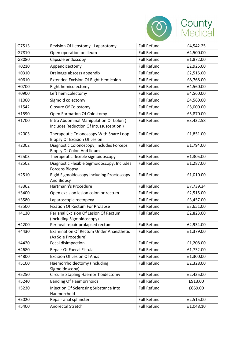

| G7513 | Revision Of Ileostomy - Laparotomy                                    | <b>Full Refund</b> | £4,542.25 |
|-------|-----------------------------------------------------------------------|--------------------|-----------|
| G7810 | Open operation on ileum                                               | <b>Full Refund</b> | £4,500.00 |
| G8080 | Capsule endoscopy                                                     | <b>Full Refund</b> | £1,872.00 |
| H0210 | Appendicectomy                                                        | <b>Full Refund</b> | £2,925.00 |
| H0310 | Drainage abscess appendix                                             | <b>Full Refund</b> | £2,515.00 |
| H0610 | <b>Extended Excision Of Right Hemicolon</b>                           | <b>Full Refund</b> | £8,768.00 |
| H0700 | Right hemicolectomy                                                   | <b>Full Refund</b> | £4,560.00 |
| H0900 | Left hemicolectomy                                                    | <b>Full Refund</b> | £4,560.00 |
| H1000 | Sigmoid colectomy                                                     | <b>Full Refund</b> | £4,560.00 |
| H1542 | Closure Of Colostomy                                                  | <b>Full Refund</b> | £5,000.00 |
| H1590 | Open Formation Of Colostomy                                           | <b>Full Refund</b> | £5,870.00 |
| H1700 | Intra Abdominal Manipulation Of Colon (                               | <b>Full Refund</b> | £3,432.58 |
|       | Includes Reduction Of Intussusception)                                |                    |           |
| H2003 | Therapeutic Colonoscopy With Snare Loop                               | <b>Full Refund</b> | £1,851.00 |
|       | <b>Biopsy Or Excision Of Lesion</b>                                   |                    |           |
| H2002 | Diagnostic Colonoscopy, Includes Forceps<br>Biopsy Of Colon And Ileum | <b>Full Refund</b> | £1,794.00 |
| H2503 | Therapeutic flexible sigmoidoscopy                                    | <b>Full Refund</b> | £1,305.00 |
| H2502 | Diagnostic Flexible Sigmoidoscopy, Includes                           | <b>Full Refund</b> | £1,287.00 |
|       | <b>Forceps Biopsy</b>                                                 |                    |           |
| H2510 | Rigid Sigmoidoscopy Including Proctoscopy                             | <b>Full Refund</b> | £1,010.00 |
| H3362 | And Biopsy<br>Hartmann's Procedure                                    | <b>Full Refund</b> | £7,739.34 |
| H3400 | Open excision lesion colon or rectum                                  | <b>Full Refund</b> | £2,515.00 |
| H3580 | Laparoscopic rectopexy                                                | <b>Full Refund</b> | £3,457.00 |
| H3500 | Fixation Of Rectum For Prolapse                                       | <b>Full Refund</b> | £3,651.00 |
| H4130 | Perianal Excision Of Lesion Of Rectum                                 | <b>Full Refund</b> | £2,823.00 |
|       | (Including Sigmoidoscopy)                                             |                    |           |
| H4200 | Perineal repair prolapsed rectum                                      | <b>Full Refund</b> | £2,934.00 |
| H4430 | Examination Of Rectum Under Anaesthetic                               | Full Refund        | £1,379.00 |
|       | (As Sole Procedure)                                                   |                    |           |
| H4420 | Fecal disimpaction                                                    | Full Refund        | £1,208.00 |
| H4680 | Repair Of Faecal Fistula                                              | <b>Full Refund</b> | £1,732.00 |
| H4800 | <b>Excision Of Lesion Of Anus</b>                                     | <b>Full Refund</b> | £1,300.00 |
| H5100 | Haemorrhoidectomy (Including                                          | <b>Full Refund</b> | £2,328.00 |
| H5250 | Sigmoidoscopy)<br>Circular Stapling Haemorrhoidectomy                 | <b>Full Refund</b> | £2,435.00 |
| H5240 | <b>Banding Of Haemorrhoids</b>                                        | <b>Full Refund</b> | £913.00   |
| H5230 | Injection Of Sclerosing Substance Into                                | <b>Full Refund</b> | £669.00   |
|       | Haemorrhoid                                                           |                    |           |
| H5020 | Repair anal sphincter                                                 | <b>Full Refund</b> | £2,515.00 |
| H5400 | Anorectal Stretch                                                     | <b>Full Refund</b> | £1,048.10 |
|       |                                                                       |                    |           |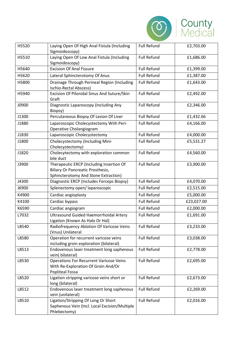

| H5520 | Laying Open Of High Anal Fistula (Including<br>Sigmoidoscopy)                                                                | <b>Full Refund</b> | £2,703.00  |
|-------|------------------------------------------------------------------------------------------------------------------------------|--------------------|------------|
| H5510 | Laying Open Of Low Anal Fistula (Including<br>Sigmoidoscopy)                                                                 | <b>Full Refund</b> | £1,686.00  |
| H5640 | <b>Excision Of Anal Fissure</b>                                                                                              | <b>Full Refund</b> | £1,399.00  |
| H5620 | Lateral Sphincterotomy Of Anus                                                                                               | <b>Full Refund</b> | £1,387.00  |
| H5800 | Drainage Through Perineal Region (Including<br>Ischio-Rectal Abscess)                                                        | <b>Full Refund</b> | £1,643.00  |
| H5940 | Excision Of Pilonidal Sinus And Suture/Skin<br>Graft                                                                         | <b>Full Refund</b> | £2,492.00  |
| J0900 | Diagnostic Laparoscopy (Including Any<br>Biopsy)                                                                             | <b>Full Refund</b> | £2,346.00  |
| J1300 | Percutaneous Biopsy Of Lesion Of Liver                                                                                       | <b>Full Refund</b> | £1,432.66  |
| J1880 | Laparoscopic Cholecystectomy With Peri-<br>Operative Cholangiogram                                                           | <b>Full Refund</b> | £4,166.00  |
| J1830 | Laparoscopic Cholecystectomy                                                                                                 | <b>Full Refund</b> | £4,000.00  |
| J1800 | Cholecystectomy (Including Mini-<br>Cholecystectomy)                                                                         | <b>Full Refund</b> | £5,531.27  |
| J1820 | Cholecytectomy with exploration common<br>bile duct                                                                          | <b>Full Refund</b> | £4,560.00  |
| J3900 | Therapeutic ERCP (Including Insertion Of<br><b>Biliary Or Pancreatic Prosthesis,</b><br>Sphincterotomy And Stone Extraction) | <b>Full Refund</b> | £3,900.00  |
| J4300 | Diagnostic ERCP (Includes Forceps Biopsy)                                                                                    | <b>Full Refund</b> | £4,070.00  |
| J6900 | Splenectomy open/laparoscopic                                                                                                | <b>Full Refund</b> | £2,515.00  |
| K4900 | Cardiac angioplasty                                                                                                          | <b>Full Refund</b> | £5,000.00  |
| K4100 | Cardiac bypass                                                                                                               | <b>Full Refund</b> | £23,027.00 |
| K6590 | Cardiac angiogram                                                                                                            | <b>Full Refund</b> | £2,000.00  |
| L7032 | Ultrasound Guided Haemorrhoidal Artery<br>Ligation (Known As Halo Or Hal)                                                    | <b>Full Refund</b> | £1,691.00  |
| L8540 | Radiofrequency Ablation Of Varicose Veins<br>(Vnus) Unilateral                                                               | <b>Full Refund</b> | £3,233.00  |
| L8580 | Operation for recurrent varicose veins<br>including groin exploration (bilateral)                                            | <b>Full Refund</b> | £3,038.00  |
| L8513 | Endovenous laser treatment long saphenous<br>vein(bilateral)                                                                 | <b>Full Refund</b> | £2,778.00  |
| L8530 | <b>Operations For Recurrent Varicose Veins</b><br>With Re-Exploration Of Groin And/Or<br><b>Popliteal Fossa</b>              | <b>Full Refund</b> | £2,695.00  |
| L8520 | Ligation stripping varicose veins short or<br>long (bilateral)                                                               | <b>Full Refund</b> | £2,673.00  |
| L8512 | Endovenous laser treatment long saphenous<br>vein (unilateral)                                                               | <b>Full Refund</b> | £2,269.00  |
| L8510 | Ligation/Stripping Of Long Or Short<br>Saphenous Vein (Incl. Local Excision/Multiple<br>Phlebectomy)                         | <b>Full Refund</b> | £2,016.00  |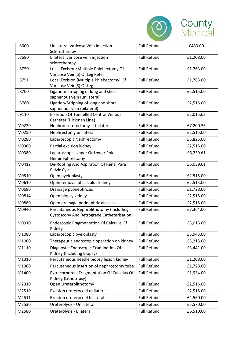

| L8600 | Unilateral Varicose Vein Injection                                                    | <b>Full Refund</b> | £483.00   |
|-------|---------------------------------------------------------------------------------------|--------------------|-----------|
|       | Sclerotherapy                                                                         |                    |           |
| L8680 | Bilateral varicose vein injection                                                     | <b>Full Refund</b> | £1,208.00 |
|       | sclerotherapy                                                                         |                    |           |
| L8750 | Local Excision/Multiple Phlebectomy Of                                                | <b>Full Refund</b> | £1,763.00 |
|       | Varicose Vein(S) Of Leg Refer                                                         |                    |           |
| L8751 | Local Excision (Multiple Phlebectomy) Of<br>Varicose Vein(S) Of Leg                   | <b>Full Refund</b> | £1,763.00 |
| L8700 | Ligation/ stripping of long and short                                                 | <b>Full Refund</b> | £2,515.00 |
|       | saphenous vein (unilateral)                                                           |                    |           |
| L8780 | Ligation/Stripping of long and short                                                  | <b>Full Refund</b> | £2,515.00 |
|       | saphenous vein (bilateral)                                                            |                    |           |
| L9110 | <b>Insertion Of Tunnelled Central Venous</b>                                          | <b>Full Refund</b> | £2,015.63 |
|       | Catheter (Hickman Line)                                                               |                    |           |
| M0220 | Nephroureterectomy - Unilateral                                                       | <b>Full Refund</b> | £7,200.36 |
| M0250 | Nephrectomy unilateral                                                                | <b>Full Refund</b> | £2,515.00 |
| M0280 | Laparoscopic Nephrectomy                                                              | <b>Full Refund</b> | £5,825.00 |
| M0300 | Partial excision kidney                                                               | <b>Full Refund</b> | £2,515.00 |
| M0380 | Laparoscopic Upper Or Lower Pole                                                      | <b>Full Refund</b> | £6,239.61 |
|       | Heminephrectomy                                                                       |                    |           |
| M0412 | De-Roofing And Aspiration Of Renal Para<br>Pelvic Cyst                                | <b>Full Refund</b> | £6,039.61 |
| M0510 | Open pyeloplasty                                                                      | <b>Full Refund</b> | £2,515.00 |
| M0610 | Open removal of calculus kidney                                                       | <b>Full Refund</b> | £2,515.00 |
| M0680 | Drainage pyonephrosis                                                                 | <b>Full Refund</b> | £1,728.00 |
| M0814 | Open biopsy kidney                                                                    | <b>Full Refund</b> | £2,515.00 |
| M0880 | Open drainage perinephric abscess                                                     | <b>Full Refund</b> | £2,515.00 |
| M0940 | Percutaneous Nephrolithotomy (Including<br>Cystoscopy And Retrograde Catheterisation) | <b>Full Refund</b> | £7,364.00 |
| M0910 | <b>Endoscopic Fragmentation Of Calculus Of</b><br>Kidney                              | <b>Full Refund</b> | £3,013.00 |
| M1080 | Laparoscopic pyeloplasty                                                              | <b>Full Refund</b> | £5,943.00 |
| M1000 | Therapeutic endoscopic operation on kidney                                            | <b>Full Refund</b> | £3,213.00 |
| M1110 | Diagnostic Endoscopic Examination Of<br>Kidney (Including Biopsy)                     | <b>Full Refund</b> | £3,441.00 |
| M1310 | Percutaneous needle biopsy lesion kidney                                              | <b>Full Refund</b> | £1,208.00 |
| M1360 | Percutaneous insertion of nephrostomy tube                                            | <b>Full Refund</b> | £1,728.00 |
| M1400 | Extracorporeal Fragmentation Of Calculus Of<br>Kidney (Lithotripsy)                   | <b>Full Refund</b> | £1,934.00 |
| M2310 | Open Ureterolithotomy                                                                 | <b>Full Refund</b> | £2,515.00 |
| M2510 | Excision ureterocoel unilateral                                                       | <b>Full Refund</b> | £2,515.00 |
| M2511 | Excision ureterocoel bilateral                                                        | <b>Full Refund</b> | £4,560.00 |
| M2530 | Ureterolysis - Unilateral                                                             | <b>Full Refund</b> | £5,570.00 |
| M2580 | Ureterolysis - Bilateral                                                              | Full Refund        | £6,510.00 |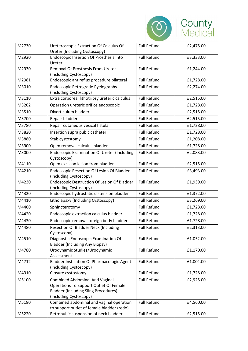

| M2730 | Ureteroscopic Extraction Of Calculus Of<br>Ureter (Including Cystoscopy)                                                                                 | <b>Full Refund</b> | £2,475.00 |
|-------|----------------------------------------------------------------------------------------------------------------------------------------------------------|--------------------|-----------|
| M2920 | Endoscopic Insertion Of Prosthesis Into<br>Ureter                                                                                                        | <b>Full Refund</b> | £3,333.00 |
| M2930 | Removal Of Prosthesis From Ureter<br>(Including Cystoscopy)                                                                                              | <b>Full Refund</b> | £1,244.00 |
| M2981 | Endoscopic antireflux procedure bilateral                                                                                                                | <b>Full Refund</b> | £1,728.00 |
| M3010 | Endoscopic Retrograde Pyelography<br>(Including Cystoscopy)                                                                                              | <b>Full Refund</b> | £2,274.00 |
| M3110 | Extra corporeal lithotripsy ureteric calculus                                                                                                            | <b>Full Refund</b> | £2,515.00 |
| M3202 | Operation ureteric orifice endoscopic                                                                                                                    | <b>Full Refund</b> | £1,728.00 |
| M3510 | Diverticulum bladder                                                                                                                                     | <b>Full Refund</b> | £2,515.00 |
| M3700 | Repair bladder                                                                                                                                           | <b>Full Refund</b> | £2,515.00 |
| M3780 | Repair cutaneous vesical fistula                                                                                                                         | <b>Full Refund</b> | £1,728.00 |
| M3820 | Insertion supra pubic catheter                                                                                                                           | <b>Full Refund</b> | £1,728.00 |
| M3880 | Stab cystostomy                                                                                                                                          | <b>Full Refund</b> | £1,208.00 |
| M3900 | Open removal calculus bladder                                                                                                                            | <b>Full Refund</b> | £1,728.00 |
| M3000 | <b>Endoscopic Examination Of Ureter (Including</b><br>Cystoscopy)                                                                                        | <b>Full Refund</b> | £2,083.00 |
| M4110 | Open excision lesion from bladder                                                                                                                        | <b>Full Refund</b> | £2,515.00 |
| M4210 | Endoscopic Resection Of Lesion Of Bladder<br>(Including Cystoscopy)                                                                                      | <b>Full Refund</b> | £3,493.00 |
| M4230 | <b>Endoscopic Destruction Of Lesion Of Bladder</b><br>(Including Cystoscopy)                                                                             | <b>Full Refund</b> | £1,939.00 |
| M4320 | Endoscopic hydrostatic distension bladder                                                                                                                | <b>Full Refund</b> | £1,372.00 |
| M4410 | Litholapaxy (Including Cystoscopy)                                                                                                                       | <b>Full Refund</b> | £3,269.00 |
| M4400 | Sphincterotomy                                                                                                                                           | <b>Full Refund</b> | £1,728.00 |
| M4420 | Endoscopic extraction calculus bladder                                                                                                                   | <b>Full Refund</b> | £1,728.00 |
| M4430 | Endoscopic removal foreign body bladder                                                                                                                  | <b>Full Refund</b> | £1,728.00 |
| M4480 | <b>Resection Of Bladder Neck (Including</b><br>Cystoscopy)                                                                                               | <b>Full Refund</b> | £2,313.00 |
| M4510 | Diagnostic Endoscopic Examination Of<br><b>Bladder (Including Any Biopsy)</b>                                                                            | <b>Full Refund</b> | £1,052.00 |
| M4780 | Urodynamic Studies/Urodynamic<br>Assessment                                                                                                              | <b>Full Refund</b> | £1,170.00 |
| M4712 | <b>Bladder Instillation Of Pharmacologic Agent</b><br>(Including Cystoscopy)                                                                             | <b>Full Refund</b> | £1,004.00 |
| M4910 | Closure cystostomy                                                                                                                                       | <b>Full Refund</b> | £1,728.00 |
| M5100 | <b>Combined Abdominal And Vaginal</b><br>Operations To Support Outlet Of Female<br><b>Bladder (Including Sling Procedures)</b><br>(Including Cystoscopy) | <b>Full Refund</b> | £2,925.00 |
| M5180 | Combined abdominal and vaginal operation<br>to support outlet of female bladder (redo)                                                                   | <b>Full Refund</b> | £4,560.00 |
| M5220 | Retropubic suspension of neck bladder                                                                                                                    | <b>Full Refund</b> | £2,515.00 |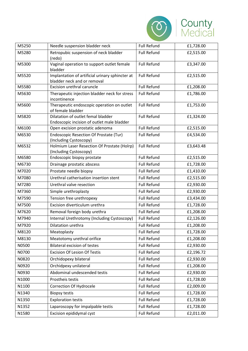

| M5250 | Needle suspension bladder neck                                                   | <b>Full Refund</b> | £1,728.00 |
|-------|----------------------------------------------------------------------------------|--------------------|-----------|
| M5280 | Retropubic suspension of neck bladder<br>(redo)                                  | <b>Full Refund</b> | £2,515.00 |
| M5300 | Vaginal operation to support outlet female<br>bladder                            | <b>Full Refund</b> | £3,347.00 |
| M5520 | Implantation of artificial urinary sphincter at<br>bladder neck and or removal   | <b>Full Refund</b> | £2,515.00 |
| M5580 | Excision urethral caruncle                                                       | <b>Full Refund</b> | £1,208.00 |
| M5630 | Therapeutic injection bladder neck for stress<br>incontinence                    | <b>Full Refund</b> | £1,786.00 |
| M5600 | Therapeutic endoscopic operation on outlet<br>of female bladder                  | <b>Full Refund</b> | £1,753.00 |
| M5820 | Dilatation of outlet femal bladder<br>Endoscopic incision of outlet male bladder | <b>Full Refund</b> | £1,324.00 |
| M6100 | Open excision prostatic adenoma                                                  | <b>Full Refund</b> | £2,515.00 |
| M6530 | <b>Endoscopic Resection Of Prostate (Tur)</b><br>(Including Cystoscopy)          | <b>Full Refund</b> | £4,534.00 |
| M6532 | Holmium Laser Resection Of Prostate (Holrp)<br>(Including Cystoscopy)            | <b>Full Refund</b> | £3,643.48 |
| M6580 | Endoscopic biopsy prostate                                                       | <b>Full Refund</b> | £2,515.00 |
| M6730 | Drainage prostatic abscess                                                       | <b>Full Refund</b> | £1,728.00 |
| M7020 | Prostate needle biopsy                                                           | <b>Full Refund</b> | £1,410.00 |
| M7080 | Urethral catherisation insertion stent                                           | <b>Full Refund</b> | £2,515.00 |
| M7280 | Urethral valve resection                                                         | <b>Full Refund</b> | £2,930.00 |
| M7360 | Simple urethroplasty                                                             | <b>Full Refund</b> | £2,930.00 |
| M7590 | Tension free urethropexy                                                         | <b>Full Refund</b> | £3,434.00 |
| M7500 | Excision diverticulum urethra                                                    | <b>Full Refund</b> | £1,728.00 |
| M7620 | Removal foreign body urethra                                                     | <b>Full Refund</b> | £1,208.00 |
| M7940 | Internal Urethrotomy (Including Cystoscopy)                                      | <b>Full Refund</b> | £2,126.00 |
| M7920 | Dilatation urethra                                                               | <b>Full Refund</b> | £1,208.00 |
| M8120 | Meatoplasty                                                                      | <b>Full Refund</b> | £1,728.00 |
| M8130 | Meatotomy urethral orifice                                                       | <b>Full Refund</b> | £1,208.00 |
| N0500 | <b>Bilateral excision of testes</b>                                              | Full Refund        | £2,930.00 |
| N0700 | <b>Excision Of Lesion Of Testis</b>                                              | Full Refund        | £2,196.72 |
| N0820 | Orchidopexy bilateral                                                            | <b>Full Refund</b> | £2,930.00 |
| N0920 | Orchidpexy unilateral                                                            | <b>Full Refund</b> | £1,208.00 |
| N0930 | Abdominal undescended testis                                                     | Full Refund        | £2,930.00 |
| N1000 | Prostheis testis                                                                 | <b>Full Refund</b> | £1,728.00 |
| N1100 | <b>Correction Of Hydrocele</b>                                                   | <b>Full Refund</b> | £2,009.00 |
| N1340 | <b>Biopsy testis</b>                                                             | Full Refund        | £1,728.00 |
| N1350 | <b>Exploration testis</b>                                                        | Full Refund        | £1,728.00 |
| N1352 | Laparoscopy for impalpable testis                                                | <b>Full Refund</b> | £1,728.00 |
| N1580 | Excision epididymal cyst                                                         | Full Refund        | £2,011.00 |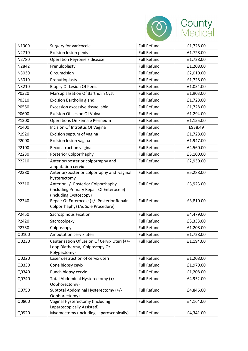

| N1900 | Surgery for varicocele                                                                                    | <b>Full Refund</b> | £1,728.00 |
|-------|-----------------------------------------------------------------------------------------------------------|--------------------|-----------|
| N2710 | Excision lesion penis                                                                                     | <b>Full Refund</b> | £1,728.00 |
| N2780 | <b>Operation Peyronie's disease</b>                                                                       | <b>Full Refund</b> | £1,728.00 |
| N2842 | Frenuloplasty                                                                                             | <b>Full Refund</b> | £1,208.00 |
| N3030 | Circumcision                                                                                              | <b>Full Refund</b> | £2,010.00 |
| N3010 | Preputioplasty                                                                                            | <b>Full Refund</b> | £1,728.00 |
| N3210 | <b>Biopsy Of Lesion Of Penis</b>                                                                          | <b>Full Refund</b> | £1,054.00 |
| P0320 | Marsupialisation Of Bartholin Cyst                                                                        | <b>Full Refund</b> | £1,903.00 |
| P0310 | <b>Excision Bartholin gland</b>                                                                           | <b>Full Refund</b> | £1,728.00 |
| P0550 | Excession excessive tissue labia                                                                          | <b>Full Refund</b> | £1,728.00 |
| P0600 | <b>Excision Of Lesion Of Vulva</b>                                                                        | <b>Full Refund</b> | £1,294.00 |
| P1300 | Operations On Female Perineum                                                                             | <b>Full Refund</b> | £1,155.00 |
| P1400 | Incision Of Introitus Of Vagina                                                                           | <b>Full Refund</b> | £938.49   |
| P1920 | Excision septum of vagina                                                                                 | <b>Full Refund</b> | £1,728.00 |
| P2000 | Excision lesion vagina                                                                                    | <b>Full Refund</b> | £1,947.00 |
| P2100 | Reconstruction vagina                                                                                     | <b>Full Refund</b> | £4,560.00 |
| P2230 | Posterior Colporrhaphy                                                                                    | <b>Full Refund</b> | £3,100.00 |
| P2210 | Anterior/posterior colporraphy and<br>amputation cervix                                                   | <b>Full Refund</b> | £2,930.00 |
| P2380 | Anterior/posterior colporraphy and vaginal<br>hysterectomy                                                | <b>Full Refund</b> | £5,288.00 |
| P2310 | Anterior +/- Posterior Colporrhaphy<br>(Including Primary Repair Of Enterocele)<br>(Including Cystoscopy) | <b>Full Refund</b> | £3,923.00 |
| P2340 | Repair Of Enterocele (+/- Posterior Repair<br>Colporrhaphy) (As Sole Procedure)                           | <b>Full Refund</b> | £3,810.00 |
| P2450 | <b>Sacrospinous Fixation</b>                                                                              | <b>Full Refund</b> | £4,479.00 |
| P2420 | Sacrocolpexy                                                                                              | <b>Full Refund</b> | £3,333.00 |
| P2730 | Colposcopy                                                                                                | <b>Full Refund</b> | £1,208.00 |
| Q0100 | Amputation cervix uteri                                                                                   | <b>Full Refund</b> | £1,728.00 |
| Q0230 | Cauterisation Of Lesion Of Cervix Uteri (+/-<br>Loop Diathermy, Colposcopy Or<br>Polypectomy)             | <b>Full Refund</b> | £1,194.00 |
| Q0220 | Laser destruction of cervix uteri                                                                         | <b>Full Refund</b> | £1,208.00 |
| Q0330 | Cone biopsy cevix                                                                                         | <b>Full Refund</b> | £1,970.00 |
| Q0340 | Punch biopsy cervix                                                                                       | <b>Full Refund</b> | £1,208.00 |
| Q0740 | Total Abdominal Hysterectomy (+/-<br>Oophorectomy)                                                        | <b>Full Refund</b> | £4,952.00 |
| Q0750 | Subtotal Abdominal Hysterectomy (+/-<br>Oophorectomy)                                                     | <b>Full Refund</b> | £4,846.00 |
| Q0800 | Vaginal Hysterectomy (Including<br>Laparoscopically Assisted)                                             | <b>Full Refund</b> | £4,164.00 |
| Q0920 | Myomectomy (Including Laparoscopically)                                                                   | Full Refund        | £4,341.00 |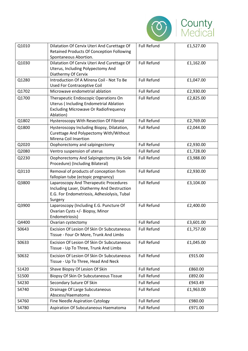

| Q1010 | Dilatation Of Cervix Uteri And Curettage Of<br><b>Retained Products Of Conception Following</b>                                                    | <b>Full Refund</b> | £1,527.00 |
|-------|----------------------------------------------------------------------------------------------------------------------------------------------------|--------------------|-----------|
| Q1030 | Spontaneous Abortion.<br>Dilatation Of Cervix Uteri And Curettage Of<br>Uterus, Including Polypectomy And<br>Diathermy Of Cervix                   | <b>Full Refund</b> | £1,162.00 |
| Q1280 | Introduction Of A Mirena Coil - Not To Be<br>Used For Contraceptive Coil                                                                           | <b>Full Refund</b> | £1,047.00 |
| Q1702 | Microwave endometrial ablation                                                                                                                     | <b>Full Refund</b> | £2,930.00 |
| Q1700 | Therapeutic Endoscopic Operations On<br><b>Uterus (Including Endometrial Ablation</b><br><b>Excluding Microwave Or Radiofrequency</b><br>Ablation) | <b>Full Refund</b> | £2,825.00 |
| Q1802 | Hysteroscopy With Resection Of Fibroid                                                                                                             | <b>Full Refund</b> | £2,769.00 |
| Q1800 | Hysteroscopy Including Biopsy, Dilatation,<br>Curettage And Polypectomy With/Without<br>Mirena Coil Insertion                                      | <b>Full Refund</b> | £2,044.00 |
| Q2020 | Oophorectomy and salpingectomy                                                                                                                     | <b>Full Refund</b> | £2,930.00 |
| Q2080 | Ventro suspension of uterus                                                                                                                        | <b>Full Refund</b> | £1,728.00 |
| Q2230 | Oophorectomy And Salpingectomy (As Sole<br>Procedure) (Including Bilateral)                                                                        | <b>Full Refund</b> | £3,988.00 |
| Q3110 | Removal of products of conception from<br>fallopian tube (ectopic pregnancy)                                                                       | <b>Full Refund</b> | £2,930.00 |
| Q3800 | Laparoscopy And Therapeutic Procedures<br>Including Laser, Diathermy And Destruction<br>E.G. For Endometriosis, Adhesiolysis, Tubal<br>Surgery     | <b>Full Refund</b> | £3,104.00 |
| Q3900 | Laparoscopy (Including E.G. Puncture Of<br>Ovarian Cysts +/- Biopsy, Minor<br>Endometriosis)                                                       | <b>Full Refund</b> | £2,400.00 |
| Q4400 | Ovarian cystectomy                                                                                                                                 | <b>Full Refund</b> | £3,601.00 |
| S0643 | Excision Of Lesion Of Skin Or Subcutaneous<br>Tissue - Four Or More, Trunk And Limbs                                                               | <b>Full Refund</b> | £1,757.00 |
| S0633 | Excision Of Lesion Of Skin Or Subcutaneous<br>Tissue - Up To Three, Trunk And Limbs                                                                | <b>Full Refund</b> | £1,045.00 |
| S0632 | Excision Of Lesion Of Skin Or Subcutaneous<br>Tissue - Up To Three, Head And Neck                                                                  | <b>Full Refund</b> | £915.00   |
| S1420 | Shave Biopsy Of Lesion Of Skin                                                                                                                     | <b>Full Refund</b> | £860.00   |
| S1500 | <b>Biopsy Of Skin Or Subcutaneous Tissue</b>                                                                                                       | <b>Full Refund</b> | £892.00   |
| S4230 | Secondary Suture Of Skin                                                                                                                           | <b>Full Refund</b> | £943.49   |
| S4740 | Drainage Of Large Subcutaneous<br>Abscess/Haematoma                                                                                                | <b>Full Refund</b> | £1,963.00 |
| S4760 | Fine Needle Aspiration Cytology                                                                                                                    | <b>Full Refund</b> | £980.00   |
| S4780 | Aspiration Of Subcutaneous Haematoma                                                                                                               | <b>Full Refund</b> | £971.00   |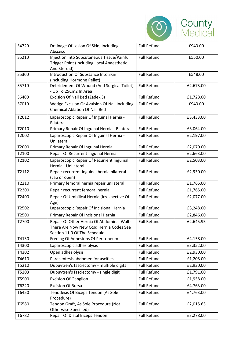

| S4720 | Drainage Of Lesion Of Skin, Including<br>Abscess                                                                       | <b>Full Refund</b> | £943.00   |
|-------|------------------------------------------------------------------------------------------------------------------------|--------------------|-----------|
| S5210 | Injection Into Subcutaneous Tissue/Painful<br>Trigger Point (Including Local Anaesthetic<br>And Steroid)               | <b>Full Refund</b> | £550.00   |
| S5300 | Introduction Of Substance Into Skin<br>(Including Hormone Pellet)                                                      | <b>Full Refund</b> | £548.00   |
| S5710 | Debridement Of Wound (And Surgical Toilet)<br>- Up To 25Cm2 In Area                                                    | <b>Full Refund</b> | £2,673.00 |
| S6400 | Excision Of Nail Bed (Zadek'S)                                                                                         | <b>Full Refund</b> | £1,728.00 |
| S7010 | Wedge Excision Or Avulsion Of Nail Including<br><b>Chemical Ablation Of Nail Bed</b>                                   | <b>Full Refund</b> | £943.00   |
| T2012 | Laparoscopic Repair Of Inguinal Hernia -<br>Bilateral                                                                  | <b>Full Refund</b> | £3,433.00 |
| T2010 | Primary Repair Of Inguinal Hernia - Bilateral                                                                          | <b>Full Refund</b> | £3,064.00 |
| T2002 | Laparoscopic Repair Of Inguinal Hernia -<br>Unilateral                                                                 | <b>Full Refund</b> | £2,197.00 |
| T2000 | Primary Repair Of Inguinal Hernia                                                                                      | <b>Full Refund</b> | £2,070.00 |
| T2100 | Repair Of Recurrent Inguinal Hernia                                                                                    | <b>Full Refund</b> | £2,663.00 |
| T2102 | Laparoscopic Repair Of Recurrent Inguinal<br>Hernia - Unilateral                                                       | <b>Full Refund</b> | £2,503.00 |
| T2112 | Repair recurrent inguinal hernia bilateral<br>(Lap or open)                                                            | <b>Full Refund</b> | £2,930.00 |
| T2210 | Primary femoral hernia repair unilateral                                                                               | <b>Full Refund</b> | £1,765.00 |
| T2300 | Repair recurrent femoral hernia                                                                                        | <b>Full Refund</b> | £1,765.00 |
| T2400 | Repair Of Umbilical Hernia (Irrespective Of<br>Age)                                                                    | <b>Full Refund</b> | £2,077.00 |
| T2502 | Laparoscopic Repair Of Incisional Hernia                                                                               | <b>Full Refund</b> | £3,248.00 |
| T2500 | Primary Repair Of Incisional Hernia                                                                                    | <b>Full Refund</b> | £2,846.00 |
| T2700 | Repair Of Other Hernia Of Abdominal Wall -<br>There Are Now New Ccsd Hernia Codes See<br>Section 11.9 Of The Schedule. | <b>Full Refund</b> | £2,645.95 |
| T4130 | Freeing Of Adhesions Of Peritoneum                                                                                     | <b>Full Refund</b> | £4,158.00 |
| T4300 | Laparoscopic adhesiolysis                                                                                              | <b>Full Refund</b> | £3,352.00 |
| T4302 | Open adhesiolysis                                                                                                      | <b>Full Refund</b> | £2,930.00 |
| T4610 | Paracentesis abdomen for ascities                                                                                      | <b>Full Refund</b> | £1,208.00 |
| T5210 | Dupuytren's fasciectomy - multiple digits                                                                              | <b>Full Refund</b> | £2,930.00 |
| T5203 | Dupuytren's fasciectomy - single digit                                                                                 | <b>Full Refund</b> | £1,791.00 |
| T5900 | <b>Excision Of Ganglion</b>                                                                                            | <b>Full Refund</b> | £1,958.00 |
| T6220 | <b>Excision Of Bursa</b>                                                                                               | <b>Full Refund</b> | £4,763.00 |
| T6450 | Tenodesis Of Biceps Tendon (As Sole<br>Procedure)                                                                      | <b>Full Refund</b> | £4,763.00 |
| T6580 | Tendon Graft, As Sole Procedure (Not<br><b>Otherwise Specified)</b>                                                    | <b>Full Refund</b> | £2,015.63 |
| T6782 | Repair Of Distal Biceps Tendon                                                                                         | <b>Full Refund</b> | £3,278.00 |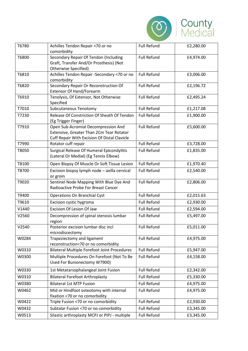

| T6780 | Achilles Tendon Repair <70 or no<br>comorbidity                                                                                 | <b>Full Refund</b> | £2,280.00 |
|-------|---------------------------------------------------------------------------------------------------------------------------------|--------------------|-----------|
| T6800 | Secondary Repair Of Tendon (Including<br>Graft, Transfer And/Or Prosthesis) (Not<br>Otherwise Specified)                        | <b>Full Refund</b> | £4,974.00 |
| T6810 | Achilles Tendon Repair -Secondary <70 or no<br>comorbidity                                                                      | <b>Full Refund</b> | £3,006.00 |
| T6820 | Secondary Repair Or Reconstruction Of<br><b>Extensor Of Hand/Forearm</b>                                                        | <b>Full Refund</b> | £2,196.72 |
| T6910 | Tenolysis, Of Extensor, Not Otherwise<br>Specified                                                                              | <b>Full Refund</b> | £2,495.24 |
| T7010 | Subcutaneous Tenotomy                                                                                                           | <b>Full Refund</b> | £1,217.08 |
| T7230 | Release Of Constriction Of Sheath Of Tendon<br>(Eg Trigger Finger)                                                              | <b>Full Refund</b> | £1,900.00 |
| T7910 | Open Sub-Acromial Decompression And<br>Extensive, Greater Than 2Cm Tear Rotator<br>Cuff Repair With Excision Of Distal Clavicle | <b>Full Refund</b> | £5,600.00 |
| T7990 | Rotator cuff repair                                                                                                             | <b>Full Refund</b> | £3,728.00 |
| T8050 | Surgical Release Of Humeral Epicondylitis<br>(Lateral Or Medial) (Eg Tennis Elbow)                                              | <b>Full Refund</b> | £1,835.00 |
| T8100 | Open Biopsy Of Muscle Or Soft Tissue Lesion                                                                                     | <b>Full Refund</b> | £1,970.40 |
| T8700 | Excision biopsy lymph node - axilla cervical<br>or groin                                                                        | <b>Full Refund</b> | £2,540.00 |
| T9020 | Sentinel Node Mapping With Blue Dye And<br>Radioactive Probe For Breast Cancer                                                  | <b>Full Refund</b> | £2,806.00 |
| T9400 | <b>Operations On Branchial Cyst</b>                                                                                             | <b>Full Refund</b> | £2,015.63 |
| T9610 | Excision cystic hygroma                                                                                                         | <b>Full Refund</b> | £2,930.00 |
| V1440 | Excision Of Lesion Of Jaw                                                                                                       | <b>Full Refund</b> | £2,594.00 |
| V2560 | Decompression of spinal stenosis lumbar<br>region                                                                               | <b>Full Refund</b> | £5,497.00 |
| V2540 | Posterior excision lumbar disc incl<br>microdiscectomy                                                                          | <b>Full Refund</b> | £5,011.00 |
| W0284 | Trapeziectomy and ligament<br>reconstruction<70 or no comorbidity                                                               | <b>Full Refund</b> | £4,975.00 |
| W0310 | <b>Bilateral Multiple Forefoot Joint Procedures</b>                                                                             | <b>Full Refund</b> | £5,947.00 |
| W0300 | Multiple Procedures On Forefoot (Not To Be<br>Used For Bunionectomy W7900)                                                      | <b>Full Refund</b> | £4,158.00 |
| W0330 | 1st Metatarsophalangeal Joint Fusion                                                                                            | <b>Full Refund</b> | £2,342.00 |
| W0310 | <b>Bilateral Forefoot Arthroplasty</b>                                                                                          | <b>Full Refund</b> | £5,330.00 |
| W0380 | <b>Bilateral 1st MTP Fusion</b>                                                                                                 | <b>Full Refund</b> | £4,975.00 |
| W0462 | Mid or Hindfoot osteotomy with internal<br>fixation <70 or no comorbidity                                                       | <b>Full Refund</b> | £4,975.00 |
| W0422 | Triple Fusion <70 or no comorbidity                                                                                             | <b>Full Refund</b> | £2,930.00 |
| W0432 | Subtalar Fusion <70 or no comorbidity                                                                                           | <b>Full Refund</b> | £3,345.00 |
| W0513 | Silastic arthroplasty MCPJ or PIPJ - multiple                                                                                   | <b>Full Refund</b> | £3,345.00 |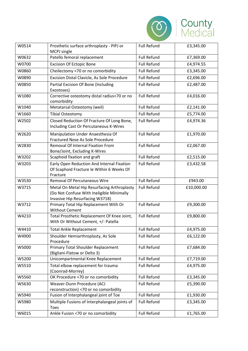

| W0514 | Prosthetic surface arthroplasty - PIPJ or<br>MCPJ single                                                                    | <b>Full Refund</b> | £3,345.00  |
|-------|-----------------------------------------------------------------------------------------------------------------------------|--------------------|------------|
| W0632 | Patello femoral replacement                                                                                                 | <b>Full Refund</b> | £7,369.00  |
| W0700 | <b>Excision Of Ectopic Bone</b>                                                                                             | <b>Full Refund</b> | £4,974.55  |
| W0860 | Cheilectomy <70 or no comorbidity                                                                                           | <b>Full Refund</b> | £3,345.00  |
| W0890 | Excision Distal Clavicle, As Sole Procedure                                                                                 | <b>Full Refund</b> | £2,696.00  |
| W0850 | Partial Excision Of Bone (Including<br>Exostoses)                                                                           | <b>Full Refund</b> | £2,487.00  |
| W1080 | Corrective osteotomy distal radius<70 or no<br>comorbidity                                                                  | <b>Full Refund</b> | £4,016.00  |
| W1040 | Metatarsal Osteotomy (weil)                                                                                                 | <b>Full Refund</b> | £2,141.00  |
| W1660 | <b>Tibial Osteotomy</b>                                                                                                     | <b>Full Refund</b> | £5,774.00  |
| W2502 | Closed Reduction Of Fracture Of Long Bone,<br>Including Cast Or Percutaneous K-Wires                                        | <b>Full Refund</b> | £4,974.36  |
| W2620 | Manipulation Under Anaesthesia Of<br>Fractured Nose As Sole Procedure                                                       | <b>Full Refund</b> | £1,970.00  |
| W2830 | <b>Removal Of Internal Fixation From</b><br>Bone/Joint, Excluding K-Wires                                                   | <b>Full Refund</b> | £2,067.00  |
| W3202 | Scaphoid fixation and graft                                                                                                 | <b>Full Refund</b> | £2,515.00  |
| W3203 | Early Open Reduction And Internal Fixation<br>Of Scaphoid Fracture le Within 6 Weeks Of<br>Fracture                         | <b>Full Refund</b> | £3,432.58  |
| W3530 | <b>Removal Of Percutaneous Wire</b>                                                                                         | <b>Full Refund</b> | £943.00    |
| W3715 | Metal On Metal Hip Resurfacing Arthroplasty<br>(Do Not Confuse With Ineligible Minimally<br>Invasive Hip Resurfacing W3718) | <b>Full Refund</b> | £10,000.00 |
| W3712 | Primary Total Hip Replacement With Or<br><b>Without Cement</b>                                                              | <b>Full Refund</b> | £9,300.00  |
| W4210 | Total Prosthetic Replacement Of Knee Joint,<br>With Or Without Cement, +/- Patella                                          | <b>Full Refund</b> | £9,800.00  |
| W4410 | <b>Total Ankle Replacement</b>                                                                                              | <b>Full Refund</b> | £4,975.00  |
| W4900 | Shoulder Hemiarthroplasty, As Sole<br>Procedure                                                                             | <b>Full Refund</b> | £6,122.00  |
| W5000 | Primary Total Shoulder Replacement<br>(Bigliani-Flatow or Delta 3)                                                          | <b>Full Refund</b> | £7,684.00  |
| W5200 | Unicompartmental Knee Replacement                                                                                           | <b>Full Refund</b> | £7,719.00  |
| W5510 | Total elbow replacement for trauma<br>(Coonrad-Morrey)                                                                      | <b>Full Refund</b> | £4,975.00  |
| W5560 | OK Procedure <70 or no comorbidity                                                                                          | <b>Full Refund</b> | £3,345.00  |
| W5630 | Weaver-Dunn Procedure (ACJ<br>reconstruction) <70 or no comorbidity                                                         | <b>Full Refund</b> | £5,390.00  |
| W5940 | Fusion of Interphalangeal joint of Toe                                                                                      | <b>Full Refund</b> | £1,930.00  |
| W5980 | Multiple Fusions of Interphalangeal joints of<br><b>Toes</b>                                                                | <b>Full Refund</b> | £3,345.00  |
| W6015 | Ankle Fusion <70 or no comorbidity                                                                                          | <b>Full Refund</b> | £1,765.00  |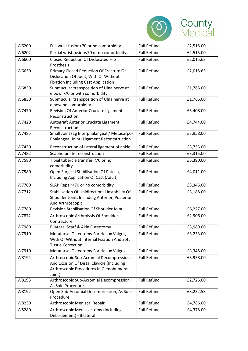

| W6200  | Full wrist fusion<70 or no comorbidity                                                                                                     | <b>Full Refund</b> | £2,515.00 |
|--------|--------------------------------------------------------------------------------------------------------------------------------------------|--------------------|-----------|
| W6202  | Partial wrist fusion<70 or no comorbidity                                                                                                  | <b>Full Refund</b> | £2,515.00 |
| W6600  | Closed Reduction Of Dislocated Hip<br>Prosthesis                                                                                           | <b>Full Refund</b> | £2,015.63 |
| W6630  | Primary Closed Reduction Of Fracture Or<br>Dislocation Of Joint, With Or Without<br><b>Fixation Including Cast Application</b>             | <b>Full Refund</b> | £2,015.63 |
| W6830  | Submucular transposition of Ulna nerve at<br>elbow >70 or with comorbidity                                                                 | <b>Full Refund</b> | £1,765.00 |
| W6830  | Submucular transposition of Ulna nerve at<br>elbow no comorbidity                                                                          | <b>Full Refund</b> | £1,765.00 |
| W7470  | <b>Revision Of Anterior Cruciate Ligament</b><br>Reconstruction                                                                            | <b>Full Refund</b> | £5,408.00 |
| W7420  | Autograft Anterior Cruciate Ligament<br>Reconstruction                                                                                     | <b>Full Refund</b> | £4,744.00 |
| W7485  | Small Joint (Eg Interphalangeal / Metacarpo-<br>Phalangeal Joint) Ligament Recontstruction                                                 | <b>Full Refund</b> | £3,958.00 |
| W7430  | Reconstruction of Lateral ligament of ankle                                                                                                | <b>Full Refund</b> | £3,753.00 |
| W7482  | Scapholunate reconstruction                                                                                                                | <b>Full Refund</b> | £3,315.00 |
| W7580  | Tibial tubercle transfer <70 or no<br>comorbidity                                                                                          | <b>Full Refund</b> | £5,390.00 |
| W7580  | Open Surgical Stabilisation Of Patella,<br>Including Application Of Cast (Adult)                                                           | <b>Full Refund</b> | £4,011.00 |
| W7760  | SLAP Repair<70 or no comorbidity                                                                                                           | <b>Full Refund</b> | £3,345.00 |
| W7712  | Stabilisation Of Unidirectional Instability Of<br>Shoulder Joint, Including Anterior, Posterior<br>And Arthroscopic                        | <b>Full Refund</b> | £3,188.00 |
| W7780  | Revision Stabilisation Of Shoulder Joint                                                                                                   | <b>Full Refund</b> | £6,227.00 |
| W7872  | Arthroscopic Arthrolysis Of Shoulder<br>Contracture                                                                                        | <b>Full Refund</b> | £2,906.00 |
| W7980+ | Bilateral Scarf & Akin Osteotomy                                                                                                           | <b>Full Refund</b> | £3,989.00 |
| W7910  | Metatarsal Osteotomy For Hallux Valgus,<br>With Or Without Internal Fixation And Soft<br><b>Tissue Correction</b>                          | <b>Full Refund</b> | £3,233.00 |
| W7910  | Metatarsal Osteotomy For Hallux Valgus                                                                                                     | <b>Full Refund</b> | £3,345.00 |
| W8194  | Arthroscopic Sub-Acromial Decompression<br>And Excision Of Distal Clavicle (Including<br>Arthroscopic Procedures In Glenohumeral<br>Joint) | <b>Full Refund</b> | £3,958.00 |
| W8193  | Arthroscopic Sub-Acromial Decompression<br>As Sole Procedure                                                                               | <b>Full Refund</b> | £2,726.00 |
| W8192  | Open Sub-Acromial Decompression, As Sole<br>Procedure                                                                                      | <b>Full Refund</b> | £3,232.58 |
| W8230  | Arthroscopic Meniscal Repair                                                                                                               | <b>Full Refund</b> | £4,786.00 |
| W8280  | Arthroscopic Meniscectomy (Including<br>Debridement) - Bilateral                                                                           | <b>Full Refund</b> | £4,378.00 |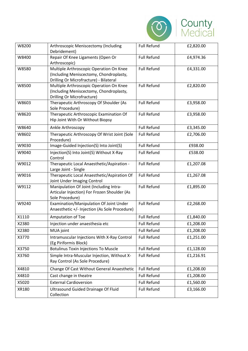

| W8200 | Arthroscopic Meniscectomy (Including<br>Debridement)                                                                         | <b>Full Refund</b> | £2,820.00 |
|-------|------------------------------------------------------------------------------------------------------------------------------|--------------------|-----------|
| W8400 | Repair Of Knee Ligaments (Open Or<br>Arthroscopic)                                                                           | <b>Full Refund</b> | £4,974.36 |
| W8580 | Multiple Arthroscopic Operation On Knee<br>(Including Meniscectomy, Chondroplasty,<br>Drilling Or Microfracture) - Bilateral | <b>Full Refund</b> | £4,331.00 |
| W8500 | Multiple Arthroscopic Operation On Knee<br>(Including Meniscectomy, Chondroplasty,<br>Drilling Or Microfracture)             | <b>Full Refund</b> | £2,820.00 |
| W8603 | Therapeutic Arthroscopy Of Shoulder (As<br>Sole Procedure)                                                                   | <b>Full Refund</b> | £3,958.00 |
| W8620 | Therapeutic Arthroscopic Examination Of<br>Hip Joint With Or Without Biopsy                                                  | <b>Full Refund</b> | £3,958.00 |
| W8640 | Ankle Arthroscopy                                                                                                            | <b>Full Refund</b> | £3,345.00 |
| W8602 | Therapeutic Arthroscopy Of Wrist Joint (Sole<br>Procedure)                                                                   | <b>Full Refund</b> | £2,706.00 |
| W9030 | Image-Guided Injection(S) Into Joint(S)                                                                                      | <b>Full Refund</b> | £938.00   |
| W9040 | Injection(S) Into Joint(S) Without X-Ray<br>Control                                                                          | <b>Full Refund</b> | £538.00   |
| W9012 | Therapeutic Local Anaesthetic/Aspiration -<br>Large Joint - Single                                                           | <b>Full Refund</b> | £1,207.08 |
| W9016 | Therapeutic Local Anaesthetic/Aspiration Of<br>Joint Under Imaging Control                                                   | <b>Full Refund</b> | £1,267.08 |
| W9112 | Manipulation Of Joint (Including Intra-<br>Articular Injection) For Frozen Shoulder (As<br>Sole Procedure)                   | <b>Full Refund</b> | £1,895.00 |
| W9240 | Examination/Manipulation Of Joint Under<br>Anaesthetic +/- Injection (As Sole Procedure)                                     | <b>Full Refund</b> | £2,268.00 |
| X1110 | Amputation of Toe                                                                                                            | <b>Full Refund</b> | £1,840.00 |
| X2380 | Injection under anaesthesia etc                                                                                              | <b>Full Refund</b> | £1,208.00 |
| X2380 | MUA joint                                                                                                                    | <b>Full Refund</b> | £1,208.00 |
| X3770 | Intramuscular Injections With X-Ray Control<br>(Eg Piriformis Block)                                                         | <b>Full Refund</b> | £1,251.00 |
| X3750 | <b>Botulinus Toxin Injections To Muscle</b>                                                                                  | <b>Full Refund</b> | £1,128.00 |
| X3760 | Simple Intra-Muscular Injection, Without X-<br>Ray Control (As Sole Procedure)                                               | <b>Full Refund</b> | £1,216.91 |
| X4810 | Change Of Cast Without General Anaesthetic                                                                                   | <b>Full Refund</b> | £1,208.00 |
| X4810 | Cast change in theatre                                                                                                       | <b>Full Refund</b> | £1,208.00 |
| X5020 | <b>External Cardioversion</b>                                                                                                | <b>Full Refund</b> | £1,560.00 |
| XR180 | <b>Ultrasound Guided Drainage Of Fluid</b><br>Collection                                                                     | <b>Full Refund</b> | £3,166.00 |